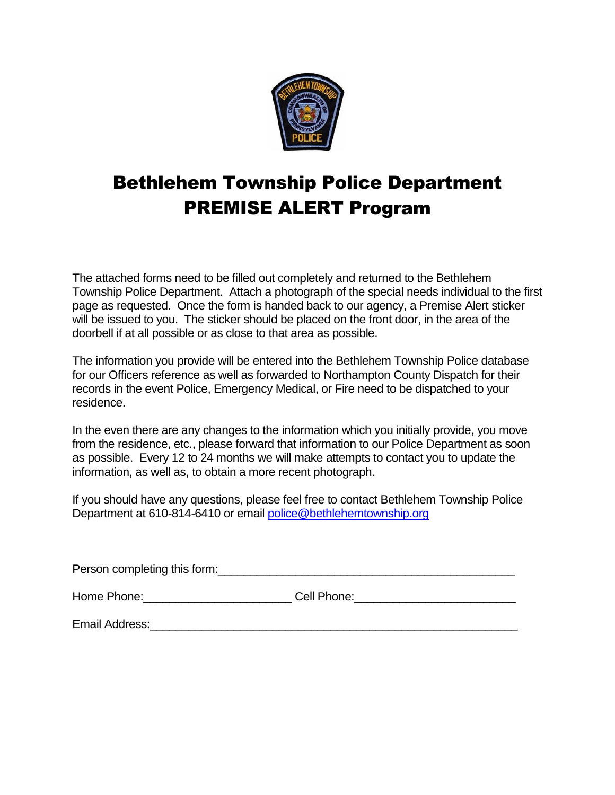

# Bethlehem Township Police Department PREMISE ALERT Program

The attached forms need to be filled out completely and returned to the Bethlehem Township Police Department. Attach a photograph of the special needs individual to the first page as requested. Once the form is handed back to our agency, a Premise Alert sticker will be issued to you. The sticker should be placed on the front door, in the area of the doorbell if at all possible or as close to that area as possible.

The information you provide will be entered into the Bethlehem Township Police database for our Officers reference as well as forwarded to Northampton County Dispatch for their records in the event Police, Emergency Medical, or Fire need to be dispatched to your residence.

In the even there are any changes to the information which you initially provide, you move from the residence, etc., please forward that information to our Police Department as soon as possible. Every 12 to 24 months we will make attempts to contact you to update the information, as well as, to obtain a more recent photograph.

If you should have any questions, please feel free to contact Bethlehem Township Police Department at 610-814-6410 or email [police@bethlehemtownship.org](mailto:police@bethlehemtownship.org)

| Person completing this form: |             |  |  |
|------------------------------|-------------|--|--|
| Home Phone:                  | Cell Phone: |  |  |
| Email Address:               |             |  |  |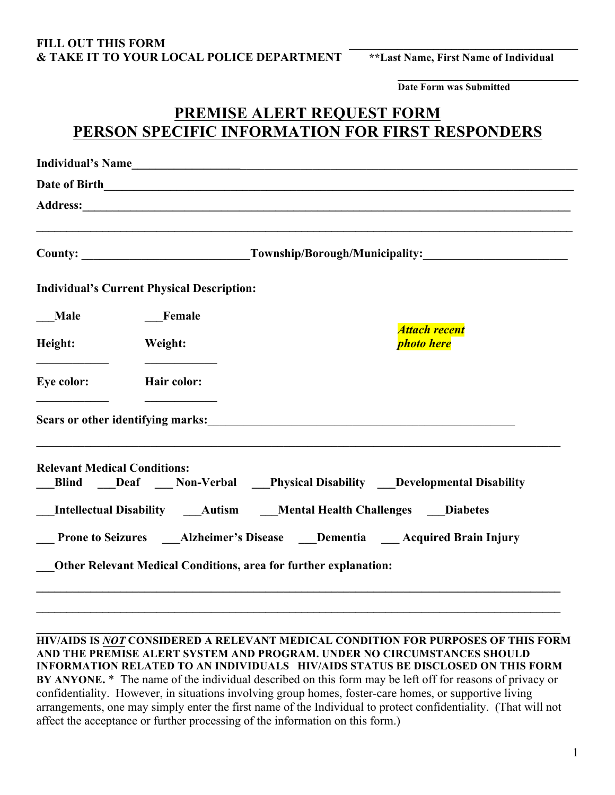#### FILL OUT THIS FORM **& TAKE IT TO YOUR LOCAL POLICE DEPARTMENT \*\*Last Name, First Name of Individual**

\_\_\_\_\_\_\_\_\_\_\_\_\_\_\_\_\_\_\_\_\_\_\_\_\_\_\_\_\_\_ **Date Form was Submitted**

## **PREMISE ALERT REQUEST FORM PERSON SPECIFIC INFORMATION FOR FIRST RESPONDERS**

|             | County: _________________________________Township/Borough/Municipality: ____________________________ |                                                                      |  |
|-------------|------------------------------------------------------------------------------------------------------|----------------------------------------------------------------------|--|
|             | <b>Individual's Current Physical Description:</b>                                                    |                                                                      |  |
| <b>Male</b> | Female                                                                                               |                                                                      |  |
| Height:     | Weight:                                                                                              | <b>Attach recent</b><br><b>photo here</b>                            |  |
| Eye color:  | Hair color:                                                                                          |                                                                      |  |
|             |                                                                                                      | Scars or other identifying marks:                                    |  |
|             | <b>Relevant Medical Conditions:</b>                                                                  | Blind Deaf Non-Verbal Physical Disability Developmental Disability   |  |
|             |                                                                                                      | Intellectual Disability Autism Mental Health Challenges Diabetes     |  |
|             |                                                                                                      | Prone to Seizures Alzheimer's Disease Dementia Acquired Brain Injury |  |
|             |                                                                                                      | Other Relevant Medical Conditions, area for further explanation:     |  |

**HIV/AIDS IS** *NOT* **CONSIDERED A RELEVANT MEDICAL CONDITION FOR PURPOSES OF THIS FORM AND THE PREMISE ALERT SYSTEM AND PROGRAM. UNDER NO CIRCUMSTANCES SHOULD INFORMATION RELATED TO AN INDIVIDUALS HIV/AIDS STATUS BE DISCLOSED ON THIS FORM BY ANYONE.** \* The name of the individual described on this form may be left off for reasons of privacy or confidentiality. However, in situations involving group homes, foster-care homes, or supportive living arrangements, one may simply enter the first name of the Individual to protect confidentiality. (That will not affect the acceptance or further processing of the information on this form.)

**\_\_\_\_\_\_\_\_\_\_\_\_\_\_\_\_\_\_\_\_\_\_\_\_\_\_\_\_\_\_\_\_\_\_\_\_\_\_\_\_\_\_\_\_\_\_\_\_\_\_\_\_\_\_\_\_\_\_\_\_\_\_\_\_\_\_\_\_\_\_\_\_\_\_\_\_\_\_\_\_\_\_\_\_\_\_\_**

**\_\_\_\_\_\_\_\_\_\_\_\_\_\_\_\_\_\_\_\_\_\_\_\_\_\_\_\_\_\_\_\_\_\_\_\_\_\_\_\_\_\_\_\_\_\_\_\_\_\_\_\_\_\_\_\_\_\_\_\_\_\_\_\_\_\_\_\_\_\_\_\_\_\_\_\_\_\_\_\_\_\_\_\_\_\_\_**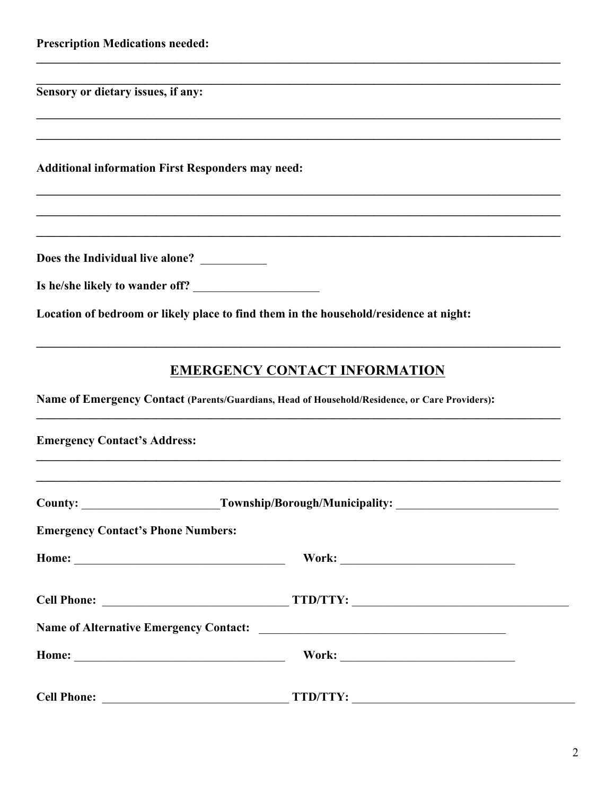|  | <b>Prescription Medications needed:</b> |  |
|--|-----------------------------------------|--|
|--|-----------------------------------------|--|

Sensory or dietary issues, if any:

**Additional information First Responders may need:** 

Does the Individual live alone? \_\_\_\_\_\_\_\_\_

|  | Is he/she likely to wander off? |  |
|--|---------------------------------|--|
|  |                                 |  |

Location of bedroom or likely place to find them in the household/residence at night:

## **EMERGENCY CONTACT INFORMATION**

Name of Emergency Contact (Parents/Guardians, Head of Household/Residence, or Care Providers):

| <b>Emergency Contact's Address:</b>       |                      |  |  |  |
|-------------------------------------------|----------------------|--|--|--|
|                                           |                      |  |  |  |
| <b>Emergency Contact's Phone Numbers:</b> |                      |  |  |  |
|                                           |                      |  |  |  |
|                                           | Cell Phone: TTD/TTY: |  |  |  |
|                                           |                      |  |  |  |
|                                           |                      |  |  |  |
| <b>Cell Phone:</b>                        | TTD/TTY:             |  |  |  |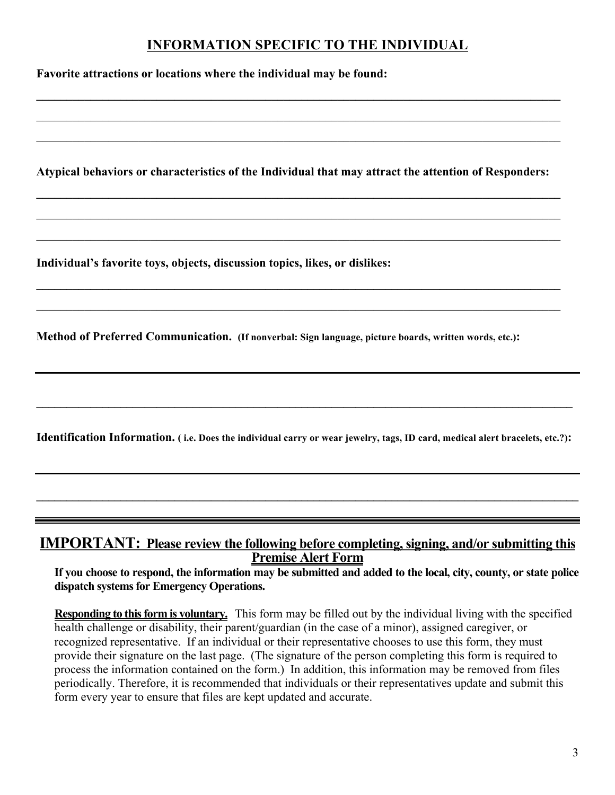## **INFORMATION SPECIFIC TO THE INDIVIDUAL**

**Favorite attractions or locations where the individual may be found: \_\_\_\_\_\_\_\_\_\_\_\_\_\_\_\_\_\_\_\_\_\_\_\_\_\_\_\_\_\_\_\_\_\_\_\_\_\_\_\_\_\_\_\_\_\_\_\_\_\_\_\_\_\_\_\_\_\_\_\_\_\_\_\_\_\_\_\_\_\_\_\_\_\_\_\_\_\_\_\_\_\_\_\_\_\_\_**  $\_$  , and the contribution of the contribution of the contribution of the contribution of  $\mathcal{L}_\text{max}$  $\_$  , and the contribution of the contribution of the contribution of the contribution of  $\mathcal{L}_\text{max}$ **Atypical behaviors or characteristics of the Individual that may attract the attention of Responders: \_\_\_\_\_\_\_\_\_\_\_\_\_\_\_\_\_\_\_\_\_\_\_\_\_\_\_\_\_\_\_\_\_\_\_\_\_\_\_\_\_\_\_\_\_\_\_\_\_\_\_\_\_\_\_\_\_\_\_\_\_\_\_\_\_\_\_\_\_\_\_\_\_\_\_\_\_\_\_\_\_\_\_\_\_\_\_**  $\mathcal{L}_\mathcal{L} = \{ \mathcal{L}_\mathcal{L} = \{ \mathcal{L}_\mathcal{L} = \{ \mathcal{L}_\mathcal{L} = \{ \mathcal{L}_\mathcal{L} = \{ \mathcal{L}_\mathcal{L} = \{ \mathcal{L}_\mathcal{L} = \{ \mathcal{L}_\mathcal{L} = \{ \mathcal{L}_\mathcal{L} = \{ \mathcal{L}_\mathcal{L} = \{ \mathcal{L}_\mathcal{L} = \{ \mathcal{L}_\mathcal{L} = \{ \mathcal{L}_\mathcal{L} = \{ \mathcal{L}_\mathcal{L} = \{ \mathcal{L}_\mathcal{$  $\_$  , and the contribution of the contribution of the contribution of the contribution of  $\mathcal{L}_\text{max}$ **Individual's favorite toys, objects, discussion topics, likes, or dislikes: \_\_\_\_\_\_\_\_\_\_\_\_\_\_\_\_\_\_\_\_\_\_\_\_\_\_\_\_\_\_\_\_\_\_\_\_\_\_\_\_\_\_\_\_\_\_\_\_\_\_\_\_\_\_\_\_\_\_\_\_\_\_\_\_\_\_\_\_\_\_\_\_\_\_\_\_\_\_\_\_\_\_\_\_\_\_\_**  $\_$  , and the contribution of the contribution of the contribution of the contribution of  $\mathcal{L}_\text{max}$ **Method of Preferred Communication. (If nonverbal: Sign language, picture boards, written words, etc.): \_\_\_\_\_\_\_\_\_\_\_\_\_\_\_\_\_\_\_\_\_\_\_\_\_\_\_\_\_\_\_\_\_\_\_\_\_\_\_\_\_\_\_\_\_\_\_\_\_\_\_\_\_\_\_\_\_\_\_\_\_\_\_\_\_\_\_\_\_\_\_\_\_\_\_\_\_\_\_\_\_\_\_\_\_\_\_\_\_ Identification Information. ( i.e. Does the individual carry or wear jewelry, tags, ID card, medical alert bracelets, etc.?): \_\_\_\_\_\_\_\_\_\_\_\_\_\_\_\_\_\_\_\_\_\_\_\_\_\_\_\_\_\_\_\_\_\_\_\_\_\_\_\_\_\_\_\_\_\_\_\_\_\_\_\_\_\_\_\_\_\_\_\_\_\_\_\_\_\_\_\_\_\_\_\_\_\_\_\_\_\_\_\_\_\_\_\_\_\_\_\_\_\_ IMPORTANT: Please review the following before completing, signing, and/or submitting this Premise Alert Form**

**If you choose to respond, the information may be submitted and added to the local, city, county, or state police dispatch systems for Emergency Operations.** 

**Responding to this form is voluntary.** This form may be filled out by the individual living with the specified health challenge or disability, their parent/guardian (in the case of a minor), assigned caregiver, or recognized representative. If an individual or their representative chooses to use this form, they must provide their signature on the last page. (The signature of the person completing this form is required to process the information contained on the form.) In addition, this information may be removed from files periodically. Therefore, it is recommended that individuals or their representatives update and submit this form every year to ensure that files are kept updated and accurate.